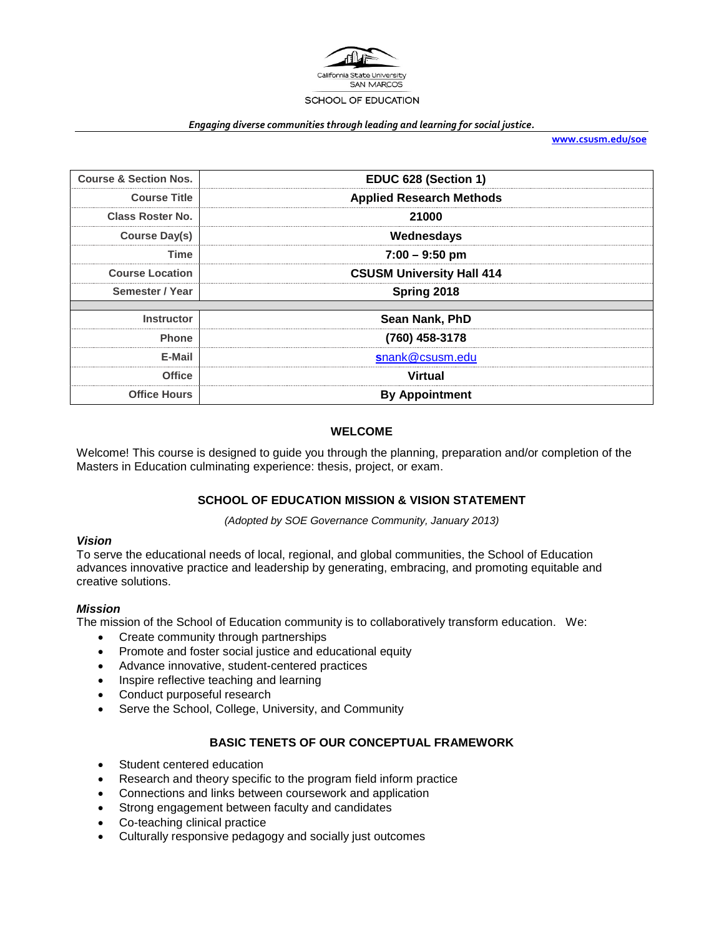

#### *Engaging diverse communities through leading and learning for social justice.*

**[www.csusm.edu/soe](http://www.csusm.edu/soe)**

| EDUC 628 (Section 1)             |  |
|----------------------------------|--|
| <b>Applied Research Methods</b>  |  |
| 21000                            |  |
| Wednesdays                       |  |
| $7:00 - 9:50$ pm                 |  |
| <b>CSUSM University Hall 414</b> |  |
| Spring 2018                      |  |
|                                  |  |
| Sean Nank, PhD                   |  |
| (760) 458-3178                   |  |
| snank@csusm.edu                  |  |
| <b>Virtual</b>                   |  |
| <b>By Appointment</b>            |  |
|                                  |  |

#### **WELCOME**

Welcome! This course is designed to guide you through the planning, preparation and/or completion of the Masters in Education culminating experience: thesis, project, or exam.

# **SCHOOL OF EDUCATION MISSION & VISION STATEMENT**

*(Adopted by SOE Governance Community, January 2013)*

#### *Vision*

To serve the educational needs of local, regional, and global communities, the School of Education advances innovative practice and leadership by generating, embracing, and promoting equitable and creative solutions.

#### *Mission*

The mission of the School of Education community is to collaboratively transform education. We:

- Create community through partnerships
- Promote and foster social justice and educational equity
- Advance innovative, student-centered practices
- Inspire reflective teaching and learning
- Conduct purposeful research
- Serve the School, College, University, and Community

#### **BASIC TENETS OF OUR CONCEPTUAL FRAMEWORK**

- Student centered education
- Research and theory specific to the program field inform practice
- Connections and links between coursework and application
- Strong engagement between faculty and candidates
- Co-teaching clinical practice
- Culturally responsive pedagogy and socially just outcomes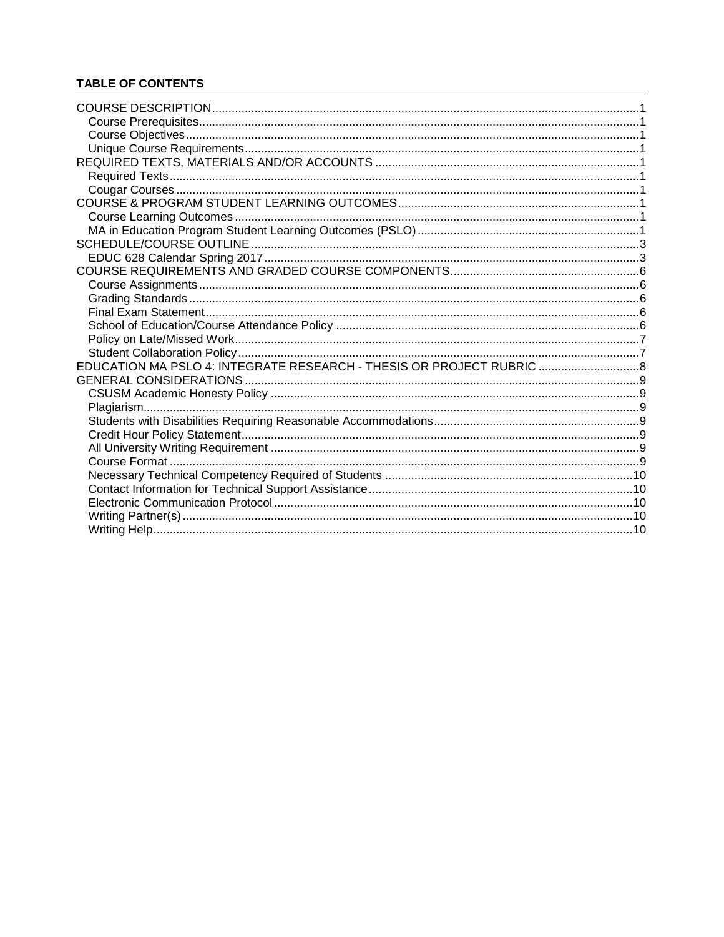# **TABLE OF CONTENTS**

| EDUCATION MA PSLO 4: INTEGRATE RESEARCH - THESIS OR PROJECT RUBRIC 8 |  |
|----------------------------------------------------------------------|--|
|                                                                      |  |
|                                                                      |  |
|                                                                      |  |
|                                                                      |  |
|                                                                      |  |
|                                                                      |  |
|                                                                      |  |
|                                                                      |  |
|                                                                      |  |
|                                                                      |  |
|                                                                      |  |
|                                                                      |  |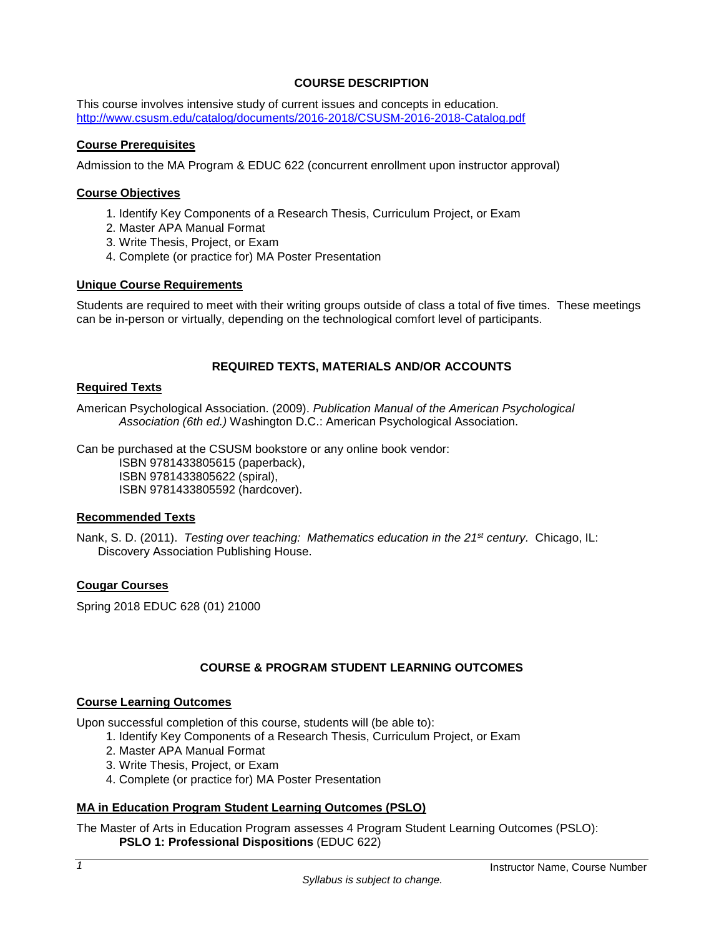# **COURSE DESCRIPTION**

<span id="page-2-0"></span>This course involves intensive study of current issues and concepts in education. <http://www.csusm.edu/catalog/documents/2016-2018/CSUSM-2016-2018-Catalog.pdf>

# <span id="page-2-1"></span>**Course Prerequisites**

Admission to the MA Program & EDUC 622 (concurrent enrollment upon instructor approval)

#### <span id="page-2-2"></span>**Course Objectives**

- 1. Identify Key Components of a Research Thesis, Curriculum Project, or Exam
- 2. Master APA Manual Format
- 3. Write Thesis, Project, or Exam
- 4. Complete (or practice for) MA Poster Presentation

#### <span id="page-2-3"></span>**Unique Course Requirements**

Students are required to meet with their writing groups outside of class a total of five times. These meetings can be in-person or virtually, depending on the technological comfort level of participants.

# **REQUIRED TEXTS, MATERIALS AND/OR ACCOUNTS**

#### <span id="page-2-5"></span><span id="page-2-4"></span>**Required Texts**

American Psychological Association. (2009). *Publication Manual of the American Psychological Association (6th ed.)* Washington D.C.: American Psychological Association.

Can be purchased at the CSUSM bookstore or any online book vendor:

ISBN 9781433805615 (paperback),

ISBN 9781433805622 (spiral),

ISBN 9781433805592 (hardcover).

#### **Recommended Texts**

Nank, S. D. (2011). *Testing over teaching: Mathematics education in the 21st century.* Chicago, IL: Discovery Association Publishing House.

# <span id="page-2-6"></span>**Cougar Courses**

Spring 2018 EDUC 628 (01) 21000

# **COURSE & PROGRAM STUDENT LEARNING OUTCOMES**

#### <span id="page-2-8"></span><span id="page-2-7"></span>**Course Learning Outcomes**

Upon successful completion of this course, students will (be able to):

- 1. Identify Key Components of a Research Thesis, Curriculum Project, or Exam
	- 2. Master APA Manual Format
	- 3. Write Thesis, Project, or Exam
	- 4. Complete (or practice for) MA Poster Presentation

# <span id="page-2-9"></span>**MA in Education Program Student Learning Outcomes (PSLO)**

The Master of Arts in Education Program assesses 4 Program Student Learning Outcomes (PSLO): **PSLO 1: Professional Dispositions** (EDUC 622)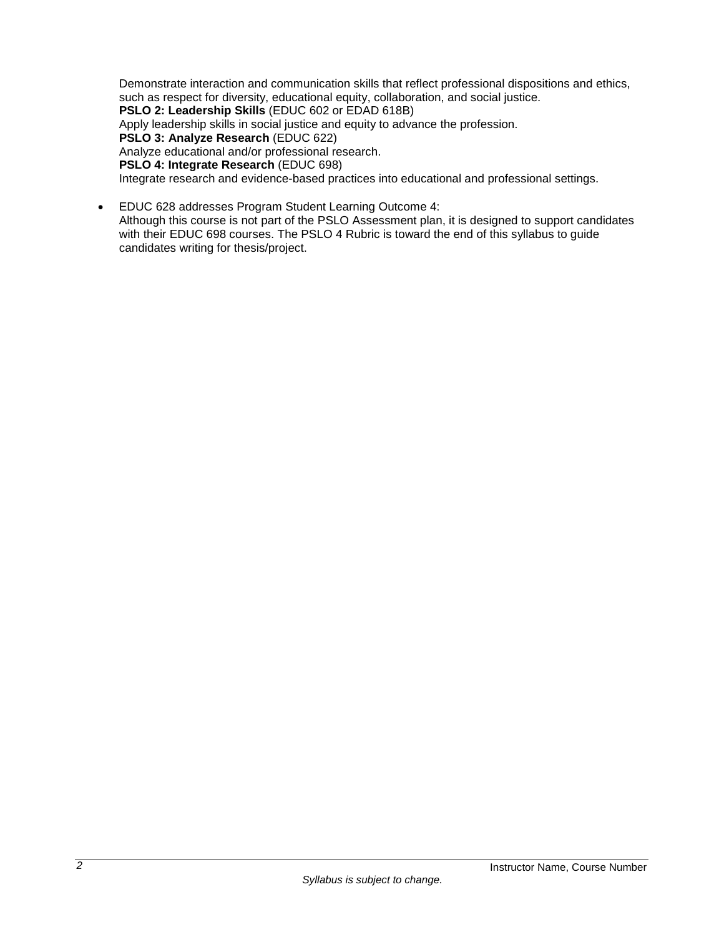Demonstrate interaction and communication skills that reflect professional dispositions and ethics, such as respect for diversity, educational equity, collaboration, and social justice.

**PSLO 2: Leadership Skills** (EDUC 602 or EDAD 618B)

Apply leadership skills in social justice and equity to advance the profession.

**PSLO 3: Analyze Research** (EDUC 622)

Analyze educational and/or professional research.

**PSLO 4: Integrate Research** (EDUC 698)

Integrate research and evidence-based practices into educational and professional settings.

• EDUC 628 addresses Program Student Learning Outcome 4:

Although this course is not part of the PSLO Assessment plan, it is designed to support candidates with their EDUC 698 courses. The PSLO 4 Rubric is toward the end of this syllabus to guide candidates writing for thesis/project.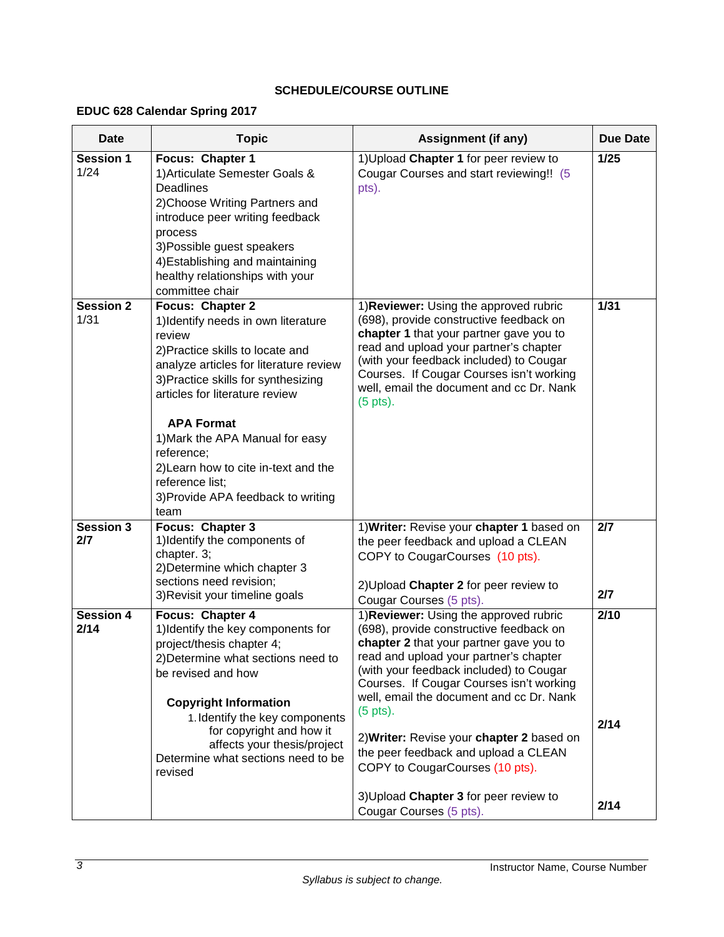# **SCHEDULE/COURSE OUTLINE**

# <span id="page-4-1"></span><span id="page-4-0"></span>**EDUC 628 Calendar Spring 2017**

| <b>Date</b>              | <b>Topic</b>                                                                                                                                                                                                                                                                                                                                                                                            | Assignment (if any)                                                                                                                                                                                                                                                                                                                                                                                                                                                                                                          | <b>Due Date</b>      |
|--------------------------|---------------------------------------------------------------------------------------------------------------------------------------------------------------------------------------------------------------------------------------------------------------------------------------------------------------------------------------------------------------------------------------------------------|------------------------------------------------------------------------------------------------------------------------------------------------------------------------------------------------------------------------------------------------------------------------------------------------------------------------------------------------------------------------------------------------------------------------------------------------------------------------------------------------------------------------------|----------------------|
| <b>Session 1</b><br>1/24 | Focus: Chapter 1<br>1) Articulate Semester Goals &<br>Deadlines<br>2) Choose Writing Partners and<br>introduce peer writing feedback<br>process<br>3) Possible guest speakers<br>4) Establishing and maintaining<br>healthy relationships with your<br>committee chair                                                                                                                                  | 1) Upload Chapter 1 for peer review to<br>Cougar Courses and start reviewing!! (5<br>pts).                                                                                                                                                                                                                                                                                                                                                                                                                                   | $1/25$               |
| <b>Session 2</b><br>1/31 | Focus: Chapter 2<br>1) Identify needs in own literature<br>review<br>2) Practice skills to locate and<br>analyze articles for literature review<br>3) Practice skills for synthesizing<br>articles for literature review<br><b>APA Format</b><br>1) Mark the APA Manual for easy<br>reference:<br>2) Learn how to cite in-text and the<br>reference list;<br>3) Provide APA feedback to writing<br>team | 1) Reviewer: Using the approved rubric<br>(698), provide constructive feedback on<br>chapter 1 that your partner gave you to<br>read and upload your partner's chapter<br>(with your feedback included) to Cougar<br>Courses. If Cougar Courses isn't working<br>well, email the document and cc Dr. Nank<br>$(5$ pts).                                                                                                                                                                                                      | $\frac{1}{31}$       |
| <b>Session 3</b><br>2/7  | Focus: Chapter 3<br>1) Identify the components of<br>chapter. 3;<br>2) Determine which chapter 3<br>sections need revision;<br>3) Revisit your timeline goals                                                                                                                                                                                                                                           | 1) Writer: Revise your chapter 1 based on<br>the peer feedback and upload a CLEAN<br>COPY to CougarCourses (10 pts).<br>2) Upload Chapter 2 for peer review to<br>Cougar Courses (5 pts).                                                                                                                                                                                                                                                                                                                                    | 2/7<br>2/7           |
| <b>Session 4</b><br>2/14 | Focus: Chapter 4<br>1) Identify the key components for<br>project/thesis chapter 4;<br>2) Determine what sections need to<br>be revised and how<br><b>Copyright Information</b><br>1. Identify the key components<br>for copyright and how it<br>affects your thesis/project<br>Determine what sections need to be<br>revised                                                                           | 1) Reviewer: Using the approved rubric<br>(698), provide constructive feedback on<br>chapter 2 that your partner gave you to<br>read and upload your partner's chapter<br>(with your feedback included) to Cougar<br>Courses. If Cougar Courses isn't working<br>well, email the document and cc Dr. Nank<br>$(5 \text{ pts}).$<br>2) Writer: Revise your chapter 2 based on<br>the peer feedback and upload a CLEAN<br>COPY to CougarCourses (10 pts).<br>3) Upload Chapter 3 for peer review to<br>Cougar Courses (5 pts). | 2/10<br>2/14<br>2/14 |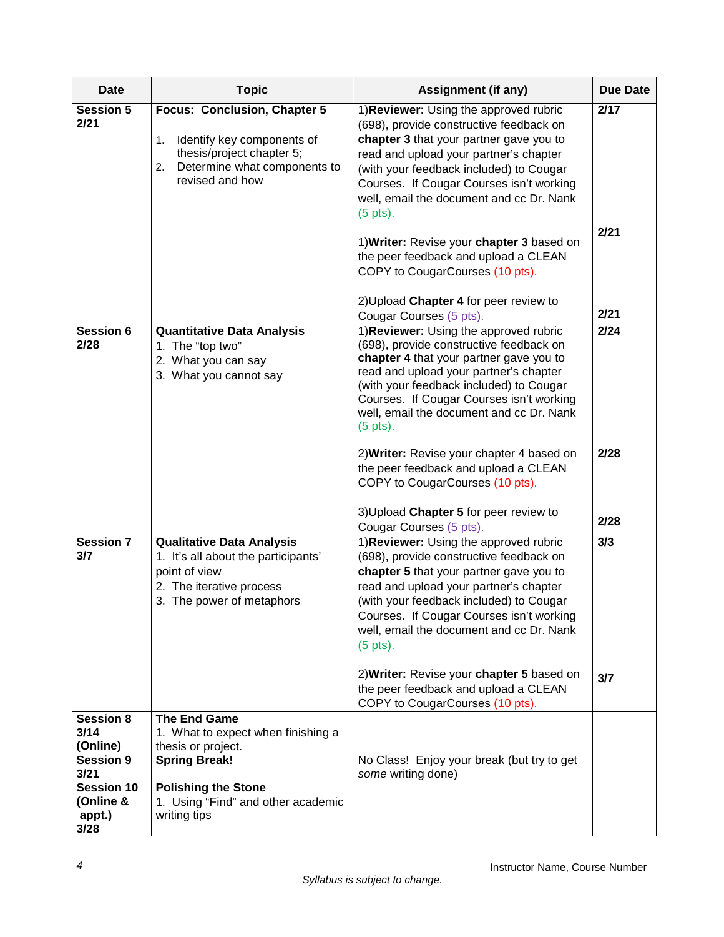| <b>Date</b>                                      | <b>Topic</b>                                                                                                                                           | <b>Assignment (if any)</b>                                                                                                                                                                                                                                                                                                                                                                                   | <b>Due Date</b> |
|--------------------------------------------------|--------------------------------------------------------------------------------------------------------------------------------------------------------|--------------------------------------------------------------------------------------------------------------------------------------------------------------------------------------------------------------------------------------------------------------------------------------------------------------------------------------------------------------------------------------------------------------|-----------------|
| <b>Session 5</b><br>2/21                         | Focus: Conclusion, Chapter 5<br>Identify key components of<br>1.<br>thesis/project chapter 5;<br>Determine what components to<br>2.<br>revised and how | 1) Reviewer: Using the approved rubric<br>(698), provide constructive feedback on<br>chapter 3 that your partner gave you to<br>read and upload your partner's chapter<br>(with your feedback included) to Cougar<br>Courses. If Cougar Courses isn't working<br>well, email the document and cc Dr. Nank<br>$(5$ pts).                                                                                      | 2/17            |
|                                                  |                                                                                                                                                        | 1) Writer: Revise your chapter 3 based on<br>the peer feedback and upload a CLEAN<br>COPY to CougarCourses (10 pts).<br>2) Upload Chapter 4 for peer review to                                                                                                                                                                                                                                               | 2/21<br>2/21    |
| <b>Session 6</b><br>2/28                         | <b>Quantitative Data Analysis</b><br>1. The "top two"<br>2. What you can say<br>3. What you cannot say                                                 | Cougar Courses (5 pts).<br>1) Reviewer: Using the approved rubric<br>(698), provide constructive feedback on<br>chapter 4 that your partner gave you to<br>read and upload your partner's chapter<br>(with your feedback included) to Cougar<br>Courses. If Cougar Courses isn't working<br>well, email the document and cc Dr. Nank<br>$(5 \text{ pts}).$                                                   | 2/24            |
|                                                  |                                                                                                                                                        | 2) Writer: Revise your chapter 4 based on<br>the peer feedback and upload a CLEAN<br>COPY to CougarCourses (10 pts).<br>3) Upload Chapter 5 for peer review to<br>Cougar Courses (5 pts).                                                                                                                                                                                                                    | 2/28<br>2/28    |
| <b>Session 7</b><br>3/7                          | <b>Qualitative Data Analysis</b><br>1. It's all about the participants'<br>point of view<br>2. The iterative process<br>3. The power of metaphors      | 1) Reviewer: Using the approved rubric<br>(698), provide constructive feedback on<br>chapter 5 that your partner gave you to<br>read and upload your partner's chapter<br>(with your feedback included) to Cougar<br>Courses. If Cougar Courses isn't working<br>well, email the document and cc Dr. Nank<br>$(5$ pts).<br>2) Writer: Revise your chapter 5 based on<br>the peer feedback and upload a CLEAN | 3/3<br>3/7      |
| <b>Session 8</b><br>3/14<br>(Online)             | <b>The End Game</b><br>1. What to expect when finishing a<br>thesis or project.                                                                        | COPY to CougarCourses (10 pts).                                                                                                                                                                                                                                                                                                                                                                              |                 |
| <b>Session 9</b><br>3/21                         | <b>Spring Break!</b>                                                                                                                                   | No Class! Enjoy your break (but try to get<br>some writing done)                                                                                                                                                                                                                                                                                                                                             |                 |
| <b>Session 10</b><br>(Online &<br>appt.)<br>3/28 | <b>Polishing the Stone</b><br>1. Using "Find" and other academic<br>writing tips                                                                       |                                                                                                                                                                                                                                                                                                                                                                                                              |                 |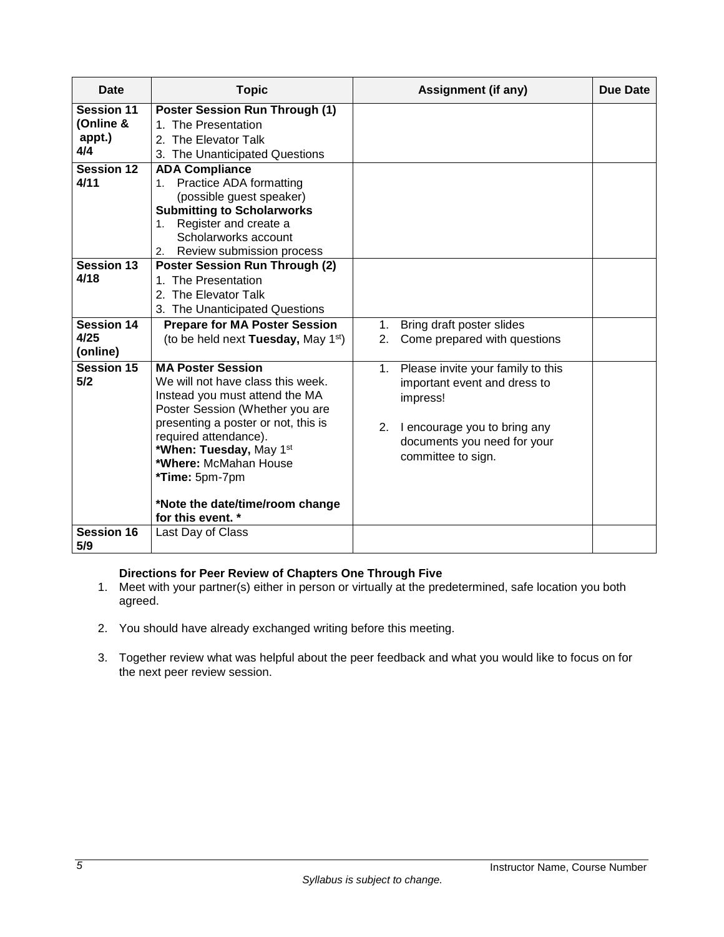| Date                                                                  | <b>Topic</b>                                                                                                                                                                                                                                                                                                                                    | <b>Assignment (if any)</b>                                                                                                                                                  |  |
|-----------------------------------------------------------------------|-------------------------------------------------------------------------------------------------------------------------------------------------------------------------------------------------------------------------------------------------------------------------------------------------------------------------------------------------|-----------------------------------------------------------------------------------------------------------------------------------------------------------------------------|--|
| <b>Session 11</b><br>(Online &<br>appt.)<br>4/4<br>Session 12<br>4/11 | <b>Poster Session Run Through (1)</b><br>1. The Presentation<br>2. The Elevator Talk<br>3. The Unanticipated Questions<br><b>ADA Compliance</b><br><b>Practice ADA formatting</b><br>1.<br>(possible guest speaker)<br><b>Submitting to Scholarworks</b><br>Register and create a<br>1.<br>Scholarworks account<br>2. Review submission process |                                                                                                                                                                             |  |
| <b>Session 13</b><br>4/18<br>Session 14<br>4/25<br>(online)           | <b>Poster Session Run Through (2)</b><br>The Presentation<br>2. The Elevator Talk<br>3. The Unanticipated Questions<br><b>Prepare for MA Poster Session</b><br>(to be held next Tuesday, May 1st)                                                                                                                                               | Bring draft poster slides<br>1.<br>Come prepared with questions<br>2.                                                                                                       |  |
| Session 15<br>5/2                                                     | <b>MA Poster Session</b><br>We will not have class this week.<br>Instead you must attend the MA<br>Poster Session (Whether you are<br>presenting a poster or not, this is<br>required attendance).<br>*When: Tuesday, May 1st<br>*Where: McMahan House<br>*Time: 5pm-7pm<br>*Note the date/time/room change<br>for this event. *                | Please invite your family to this<br>1.<br>important event and dress to<br>impress!<br>2. I encourage you to bring any<br>documents you need for your<br>committee to sign. |  |
| <b>Session 16</b><br>5/9                                              | Last Day of Class                                                                                                                                                                                                                                                                                                                               |                                                                                                                                                                             |  |

# **Directions for Peer Review of Chapters One Through Five**

- 1. Meet with your partner(s) either in person or virtually at the predetermined, safe location you both agreed.
- 2. You should have already exchanged writing before this meeting.
- 3. Together review what was helpful about the peer feedback and what you would like to focus on for the next peer review session.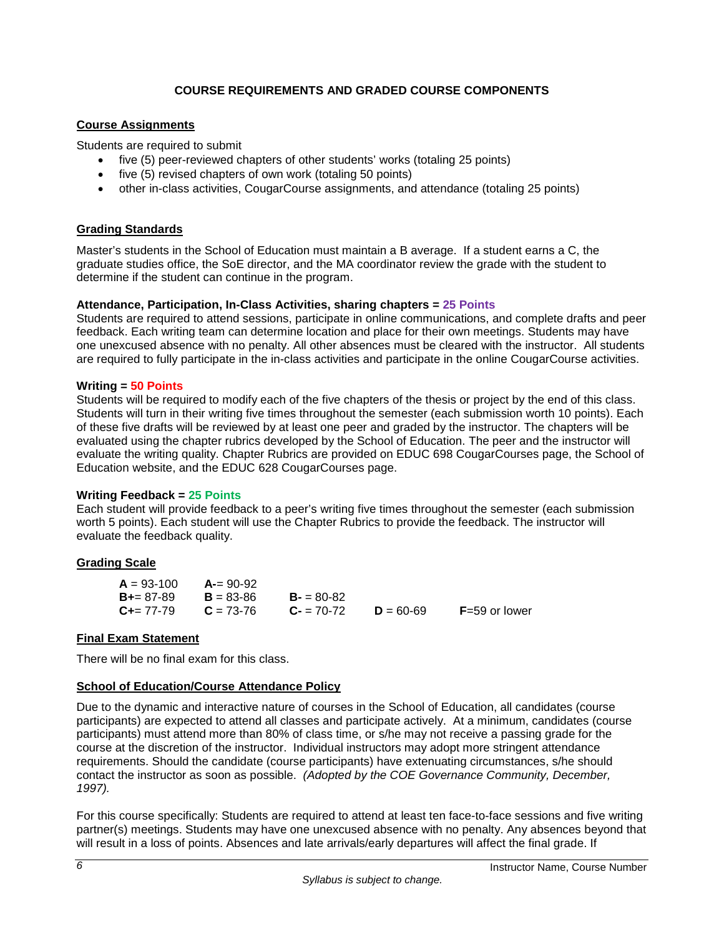# **COURSE REQUIREMENTS AND GRADED COURSE COMPONENTS**

### <span id="page-7-1"></span><span id="page-7-0"></span>**Course Assignments**

Students are required to submit

- five (5) peer-reviewed chapters of other students' works (totaling 25 points)
- five (5) revised chapters of own work (totaling 50 points)
- other in-class activities, CougarCourse assignments, and attendance (totaling 25 points)

# <span id="page-7-2"></span>**Grading Standards**

Master's students in the School of Education must maintain a B average. If a student earns a C, the graduate studies office, the SoE director, and the MA coordinator review the grade with the student to determine if the student can continue in the program.

#### **Attendance, Participation, In-Class Activities, sharing chapters = 25 Points**

Students are required to attend sessions, participate in online communications, and complete drafts and peer feedback. Each writing team can determine location and place for their own meetings. Students may have one unexcused absence with no penalty. All other absences must be cleared with the instructor. All students are required to fully participate in the in-class activities and participate in the online CougarCourse activities.

#### **Writing = 50 Points**

Students will be required to modify each of the five chapters of the thesis or project by the end of this class. Students will turn in their writing five times throughout the semester (each submission worth 10 points). Each of these five drafts will be reviewed by at least one peer and graded by the instructor. The chapters will be evaluated using the chapter rubrics developed by the School of Education. The peer and the instructor will evaluate the writing quality. Chapter Rubrics are provided on EDUC 698 CougarCourses page, the School of Education website, and the EDUC 628 CougarCourses page.

#### **Writing Feedback = 25 Points**

Each student will provide feedback to a peer's writing five times throughout the semester (each submission worth 5 points). Each student will use the Chapter Rubrics to provide the feedback. The instructor will evaluate the feedback quality.

# **Grading Scale**

| $A = 93 - 100$      | $A = 90-92$   |             |               |                 |
|---------------------|---------------|-------------|---------------|-----------------|
| $B_{+} = 87 - 89$   | $B = 83 - 86$ | $B - 80-82$ |               |                 |
| $C_{\pm} = 77 - 79$ | $C = 73-76$   | $C = 70-72$ | $D = 60 - 69$ | $F=59$ or lower |

# <span id="page-7-3"></span>**Final Exam Statement**

There will be no final exam for this class.

# <span id="page-7-4"></span>**School of Education/Course Attendance Policy**

Due to the dynamic and interactive nature of courses in the School of Education, all candidates (course participants) are expected to attend all classes and participate actively. At a minimum, candidates (course participants) must attend more than 80% of class time, or s/he may not receive a passing grade for the course at the discretion of the instructor. Individual instructors may adopt more stringent attendance requirements. Should the candidate (course participants) have extenuating circumstances, s/he should contact the instructor as soon as possible. *(Adopted by the COE Governance Community, December, 1997).*

For this course specifically: Students are required to attend at least ten face-to-face sessions and five writing partner(s) meetings. Students may have one unexcused absence with no penalty. Any absences beyond that will result in a loss of points. Absences and late arrivals/early departures will affect the final grade. If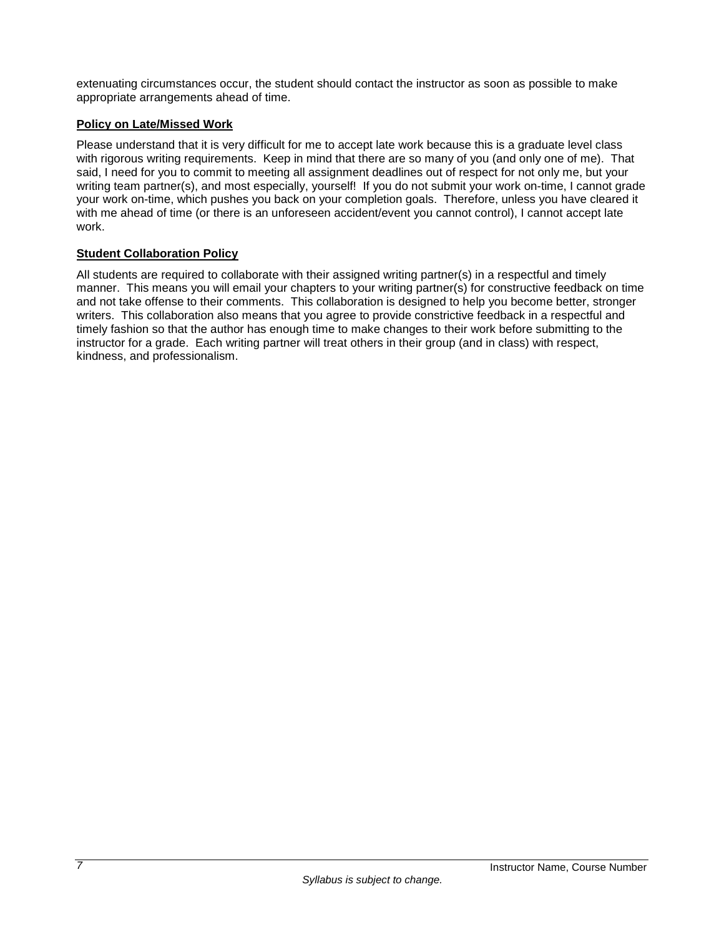extenuating circumstances occur, the student should contact the instructor as soon as possible to make appropriate arrangements ahead of time.

# <span id="page-8-0"></span>**Policy on Late/Missed Work**

Please understand that it is very difficult for me to accept late work because this is a graduate level class with rigorous writing requirements. Keep in mind that there are so many of you (and only one of me). That said, I need for you to commit to meeting all assignment deadlines out of respect for not only me, but your writing team partner(s), and most especially, yourself! If you do not submit your work on-time, I cannot grade your work on-time, which pushes you back on your completion goals. Therefore, unless you have cleared it with me ahead of time (or there is an unforeseen accident/event you cannot control), I cannot accept late work.

# <span id="page-8-1"></span>**Student Collaboration Policy**

All students are required to collaborate with their assigned writing partner(s) in a respectful and timely manner. This means you will email your chapters to your writing partner(s) for constructive feedback on time and not take offense to their comments. This collaboration is designed to help you become better, stronger writers. This collaboration also means that you agree to provide constrictive feedback in a respectful and timely fashion so that the author has enough time to make changes to their work before submitting to the instructor for a grade. Each writing partner will treat others in their group (and in class) with respect, kindness, and professionalism.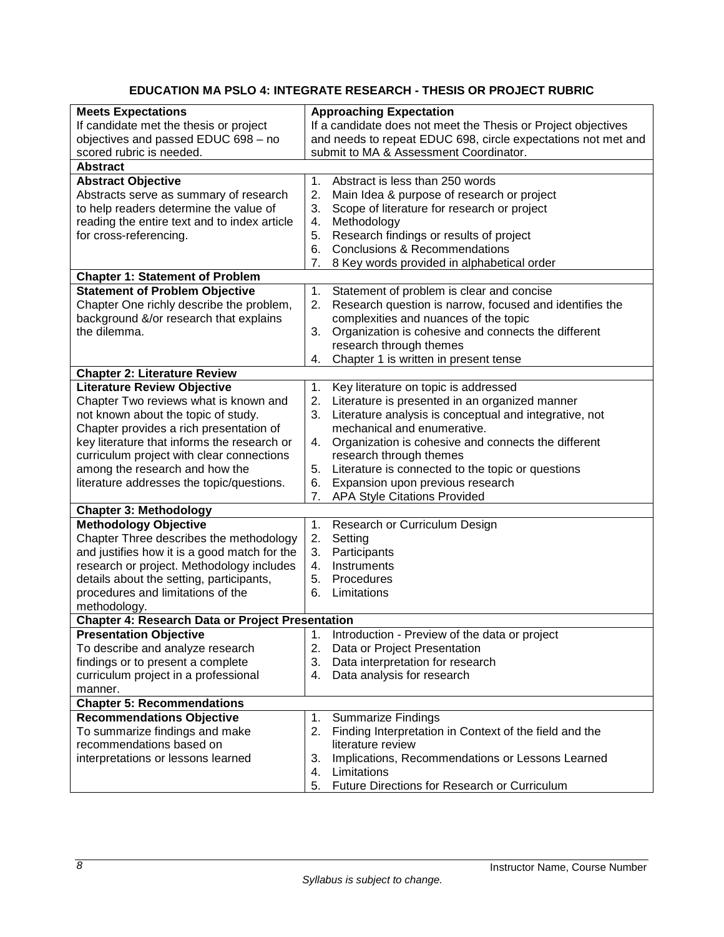# **EDUCATION MA PSLO 4: INTEGRATE RESEARCH - THESIS OR PROJECT RUBRIC**

<span id="page-9-1"></span><span id="page-9-0"></span>

| <b>Meets Expectations</b>                               | <b>Approaching Expectation</b>                                |  |
|---------------------------------------------------------|---------------------------------------------------------------|--|
| If candidate met the thesis or project                  | If a candidate does not meet the Thesis or Project objectives |  |
| objectives and passed EDUC 698 - no                     | and needs to repeat EDUC 698, circle expectations not met and |  |
| scored rubric is needed.                                | submit to MA & Assessment Coordinator.                        |  |
| <b>Abstract</b>                                         |                                                               |  |
| <b>Abstract Objective</b>                               | Abstract is less than 250 words<br>1.                         |  |
| Abstracts serve as summary of research                  | 2.<br>Main Idea & purpose of research or project              |  |
| to help readers determine the value of                  | Scope of literature for research or project<br>3.             |  |
| reading the entire text and to index article            | Methodology<br>4.                                             |  |
| for cross-referencing.                                  | Research findings or results of project<br>5.                 |  |
|                                                         | <b>Conclusions &amp; Recommendations</b><br>6.                |  |
|                                                         | 7.<br>8 Key words provided in alphabetical order              |  |
| <b>Chapter 1: Statement of Problem</b>                  |                                                               |  |
| <b>Statement of Problem Objective</b>                   | Statement of problem is clear and concise<br>1.               |  |
| Chapter One richly describe the problem,                | 2.<br>Research question is narrow, focused and identifies the |  |
| background &/or research that explains                  | complexities and nuances of the topic                         |  |
| the dilemma.                                            | Organization is cohesive and connects the different<br>3.     |  |
|                                                         | research through themes                                       |  |
|                                                         | Chapter 1 is written in present tense<br>4.                   |  |
| <b>Chapter 2: Literature Review</b>                     |                                                               |  |
| <b>Literature Review Objective</b>                      | Key literature on topic is addressed<br>1.                    |  |
| Chapter Two reviews what is known and                   | Literature is presented in an organized manner<br>2.          |  |
| not known about the topic of study.                     | Literature analysis is conceptual and integrative, not<br>3.  |  |
| Chapter provides a rich presentation of                 | mechanical and enumerative.                                   |  |
| key literature that informs the research or             | Organization is cohesive and connects the different<br>4.     |  |
| curriculum project with clear connections               | research through themes                                       |  |
| among the research and how the                          | Literature is connected to the topic or questions<br>5.       |  |
| literature addresses the topic/questions.               | Expansion upon previous research<br>6.                        |  |
|                                                         | <b>APA Style Citations Provided</b><br>7.                     |  |
| <b>Chapter 3: Methodology</b>                           |                                                               |  |
| <b>Methodology Objective</b>                            | 1.<br>Research or Curriculum Design                           |  |
| Chapter Three describes the methodology                 | 2.<br>Setting                                                 |  |
| and justifies how it is a good match for the            | 3.<br>Participants                                            |  |
| research or project. Methodology includes               | Instruments<br>4.                                             |  |
| details about the setting, participants,                | 5.<br>Procedures                                              |  |
| procedures and limitations of the                       | 6.<br>Limitations                                             |  |
| methodology.                                            |                                                               |  |
| <b>Chapter 4: Research Data or Project Presentation</b> |                                                               |  |
| <b>Presentation Objective</b>                           | 1.<br>Introduction - Preview of the data or project           |  |
| To describe and analyze research                        | 2.<br>Data or Project Presentation                            |  |
| findings or to present a complete                       | Data interpretation for research<br>3.                        |  |
| curriculum project in a professional                    | Data analysis for research<br>4.                              |  |
| manner.                                                 |                                                               |  |
| <b>Chapter 5: Recommendations</b>                       |                                                               |  |
| <b>Recommendations Objective</b>                        | 1.<br><b>Summarize Findings</b>                               |  |
| To summarize findings and make                          | Finding Interpretation in Context of the field and the<br>2.  |  |
| recommendations based on                                | literature review                                             |  |
| interpretations or lessons learned                      | 3.<br>Implications, Recommendations or Lessons Learned        |  |
|                                                         | Limitations<br>4.                                             |  |
|                                                         | Future Directions for Research or Curriculum<br>5.            |  |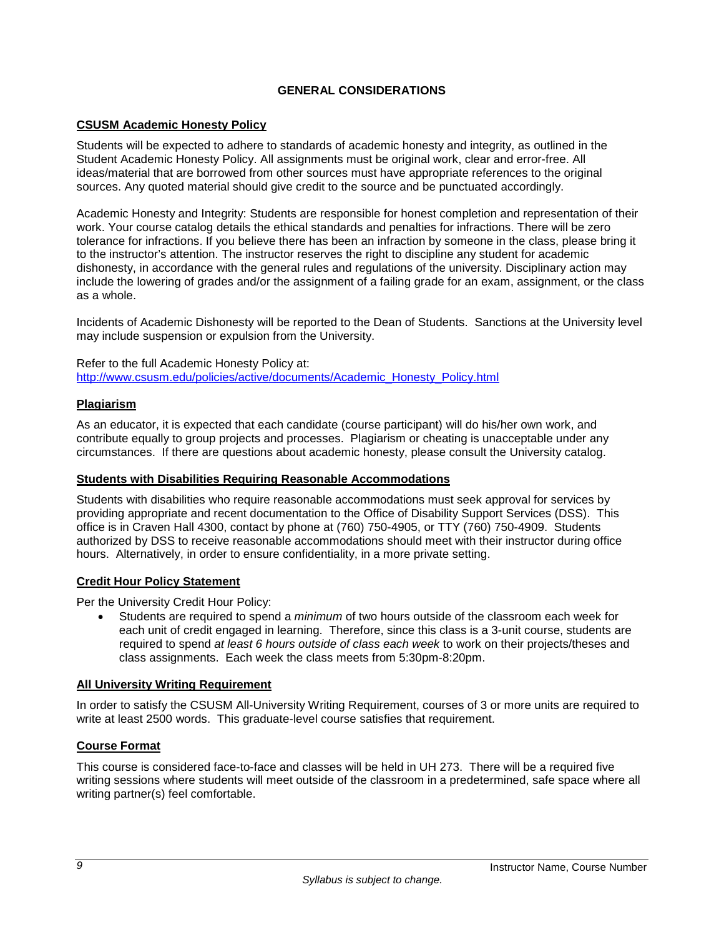# **GENERAL CONSIDERATIONS**

# <span id="page-10-0"></span>**CSUSM Academic Honesty Policy**

Students will be expected to adhere to standards of academic honesty and integrity, as outlined in the Student Academic Honesty Policy. All assignments must be original work, clear and error-free. All ideas/material that are borrowed from other sources must have appropriate references to the original sources. Any quoted material should give credit to the source and be punctuated accordingly.

Academic Honesty and Integrity: Students are responsible for honest completion and representation of their work. Your course catalog details the ethical standards and penalties for infractions. There will be zero tolerance for infractions. If you believe there has been an infraction by someone in the class, please bring it to the instructor's attention. The instructor reserves the right to discipline any student for academic dishonesty, in accordance with the general rules and regulations of the university. Disciplinary action may include the lowering of grades and/or the assignment of a failing grade for an exam, assignment, or the class as a whole.

Incidents of Academic Dishonesty will be reported to the Dean of Students. Sanctions at the University level may include suspension or expulsion from the University.

Refer to the full Academic Honesty Policy at: [http://www.csusm.edu/policies/active/documents/Academic\\_Honesty\\_Policy.html](http://www.csusm.edu/policies/active/documents/Academic_Honesty_Policy.html)

#### <span id="page-10-1"></span>**Plagiarism**

As an educator, it is expected that each candidate (course participant) will do his/her own work, and contribute equally to group projects and processes. Plagiarism or cheating is unacceptable under any circumstances. If there are questions about academic honesty, please consult the University catalog.

#### <span id="page-10-2"></span>**Students with Disabilities Requiring Reasonable Accommodations**

Students with disabilities who require reasonable accommodations must seek approval for services by providing appropriate and recent documentation to the Office of Disability Support Services (DSS). This office is in Craven Hall 4300, contact by phone at (760) 750-4905, or TTY (760) 750-4909. Students authorized by DSS to receive reasonable accommodations should meet with their instructor during office hours. Alternatively, in order to ensure confidentiality, in a more private setting.

### <span id="page-10-3"></span>**Credit Hour Policy Statement**

Per the University Credit Hour Policy:

• Students are required to spend a *minimum* of two hours outside of the classroom each week for each unit of credit engaged in learning. Therefore, since this class is a 3-unit course, students are required to spend *at least 6 hours outside of class each week* to work on their projects/theses and class assignments. Each week the class meets from 5:30pm-8:20pm.

#### <span id="page-10-4"></span>**All University Writing Requirement**

In order to satisfy the CSUSM All-University Writing Requirement, courses of 3 or more units are required to write at least 2500 words. This graduate-level course satisfies that requirement.

# <span id="page-10-5"></span>**Course Format**

This course is considered face-to-face and classes will be held in UH 273. There will be a required five writing sessions where students will meet outside of the classroom in a predetermined, safe space where all writing partner(s) feel comfortable.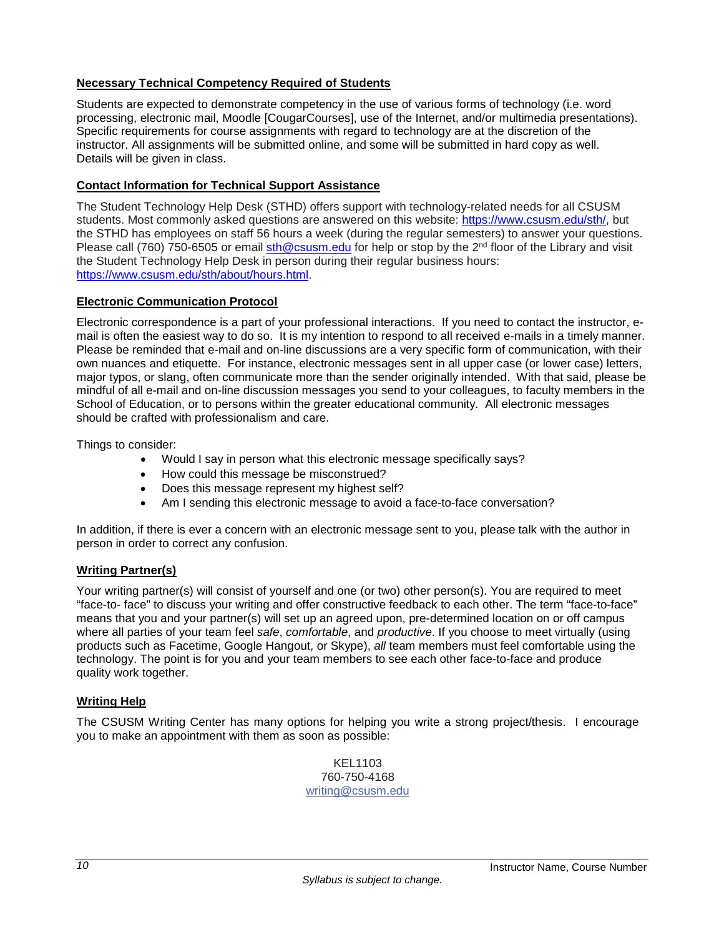# <span id="page-11-0"></span>**Necessary Technical Competency Required of Students**

Students are expected to demonstrate competency in the use of various forms of technology (i.e. word processing, electronic mail, Moodle [CougarCourses], use of the Internet, and/or multimedia presentations). Specific requirements for course assignments with regard to technology are at the discretion of the instructor. All assignments will be submitted online, and some will be submitted in hard copy as well. Details will be given in class.

# <span id="page-11-1"></span>**Contact Information for Technical Support Assistance**

The Student Technology Help Desk (STHD) offers support with technology-related needs for all CSUSM students. Most commonly asked questions are answered on this website: [https://www.csusm.edu/sth/,](https://www.csusm.edu/sth/) but the STHD has employees on staff 56 hours a week (during the regular semesters) to answer your questions. Please call (760) 750-6505 or email [sth@csusm.edu](mailto:sth@csusm.edu) for help or stop by the 2<sup>nd</sup> floor of the Library and visit the Student Technology Help Desk in person during their regular business hours: [https://www.csusm.edu/sth/about/hours.html.](https://www.csusm.edu/sth/about/hours.html)

# <span id="page-11-2"></span>**Electronic Communication Protocol**

Electronic correspondence is a part of your professional interactions. If you need to contact the instructor, email is often the easiest way to do so. It is my intention to respond to all received e-mails in a timely manner. Please be reminded that e-mail and on-line discussions are a very specific form of communication, with their own nuances and etiquette. For instance, electronic messages sent in all upper case (or lower case) letters, major typos, or slang, often communicate more than the sender originally intended. With that said, please be mindful of all e-mail and on-line discussion messages you send to your colleagues, to faculty members in the School of Education, or to persons within the greater educational community. All electronic messages should be crafted with professionalism and care.

Things to consider:

- Would I say in person what this electronic message specifically says?
- How could this message be misconstrued?
- Does this message represent my highest self?
- Am I sending this electronic message to avoid a face-to-face conversation?

In addition, if there is ever a concern with an electronic message sent to you, please talk with the author in person in order to correct any confusion.

# <span id="page-11-3"></span>**Writing Partner(s)**

Your writing partner(s) will consist of yourself and one (or two) other person(s). You are required to meet "face-to- face" to discuss your writing and offer constructive feedback to each other. The term "face-to-face" means that you and your partner(s) will set up an agreed upon, pre-determined location on or off campus where all parties of your team feel *safe*, *comfortable*, and *productive*. If you choose to meet virtually (using products such as Facetime, Google Hangout, or Skype), *all* team members must feel comfortable using the technology. The point is for you and your team members to see each other face-to-face and produce quality work together.

# <span id="page-11-4"></span>**Writing Help**

The CSUSM Writing Center has many options for helping you write a strong project/thesis. I encourage you to make an appointment with them as soon as possible:

> KEL1103 760-750-4168 [writing@csusm.edu](mailto:writing@csusm.edu)